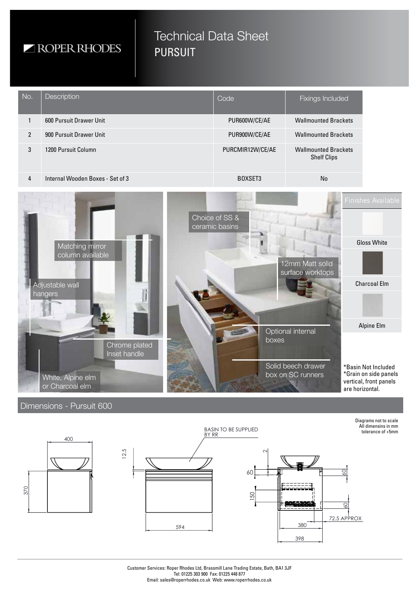Technical Data Sheet PURSUIT

| No.            | Description                                                           | Code                             | Fixings Included                                  |                                                                                           |
|----------------|-----------------------------------------------------------------------|----------------------------------|---------------------------------------------------|-------------------------------------------------------------------------------------------|
| $\mathbf{1}$   | 600 Pursuit Drawer Unit                                               | PUR600W/CE/AE                    | <b>Wallmounted Brackets</b>                       |                                                                                           |
| $\overline{2}$ | 900 Pursuit Drawer Unit                                               | PUR900W/CE/AE                    | <b>Wallmounted Brackets</b>                       |                                                                                           |
| 3              | 1200 Pursuit Column                                                   | PURCMIR12W/CE/AE                 | <b>Wallmounted Brackets</b><br><b>Shelf Clips</b> |                                                                                           |
| $\overline{4}$ | Internal Wooden Boxes - Set of 3                                      | BOXSET3                          | <b>No</b>                                         |                                                                                           |
|                | Matching mirror<br>column available<br>Adjustable wall<br>hangers     | Choice of SS &<br>ceramic basins | 12mm Matt solid<br>surface worktops               | <b>Finishes Available</b><br><b>Gloss White</b><br><b>Charcoal Elm</b>                    |
|                |                                                                       |                                  | Optional internal                                 | Alpine Elm                                                                                |
|                | Chrome plated<br>Inset handle<br>White, Alpine elm<br>or Charcoal elm | boxes                            | Solid beech drawer<br>box on SC runners           | *Basin Not Included<br>*Grain on side panels<br>vertical, front panels<br>are horizontal. |

Dimensions - Pursuit 600



Customer Services: Roper Rhodes Ltd, Brassmill Lane Trading Estate, Bath, BA1 3JF Tel: 01225 303 900 Fax: 01225 448 877 Email: sales@roperrhodes.co.uk Web: www.roperrhodes.co.uk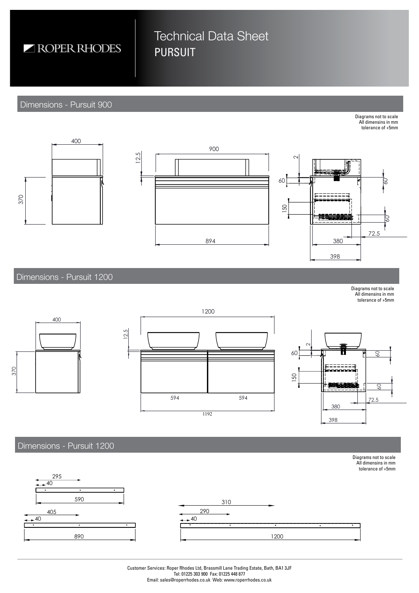Technical Data Sheet PURSUIT

### Dimensions - Pursuit 900

Diagrams not to scale All dimensins in mm tolerance of +5mm



Dimensions - Pursuit 1200

Diagrams not to scale All dimensins in mm tolerance of +5mm







### Dimensions - Pursuit 1200



Customer Services: Roper Rhodes Ltd, Brassmill Lane Trading Estate, Bath, BA1 3JF Tel: 01225 303 900 Fax: 01225 448 877 Email: sales@roperrhodes.co.uk Web: www.roperrhodes.co.uk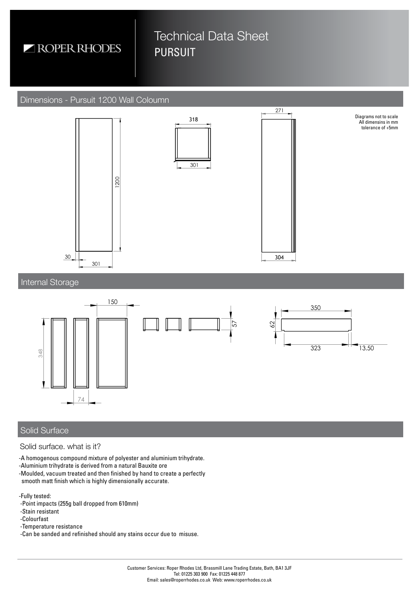## Technical Data Sheet PURSUIT

### Dimensions - Pursuit 1200 Wall Coloumn







Diagrams not to scale All dimensins in mm tolerance of +5mm

#### Internal Storage



#### Solid Surface

#### Solid surface. what is it?

-A homogenous compound mixture of polyester and aluminium trihydrate.

- -Aluminium trihydrate is derived from a natural Bauxite ore
- -Moulded, vacuum treated and then finished by hand to create a perfectly smooth matt finish which is highly dimensionally accurate.

-Fully tested:

-Point impacts (255g ball dropped from 610mm)

-Stain resistant

- -Colourfast
- -Temperature resistance
- -Can be sanded and refinished should any stains occur due to misuse.